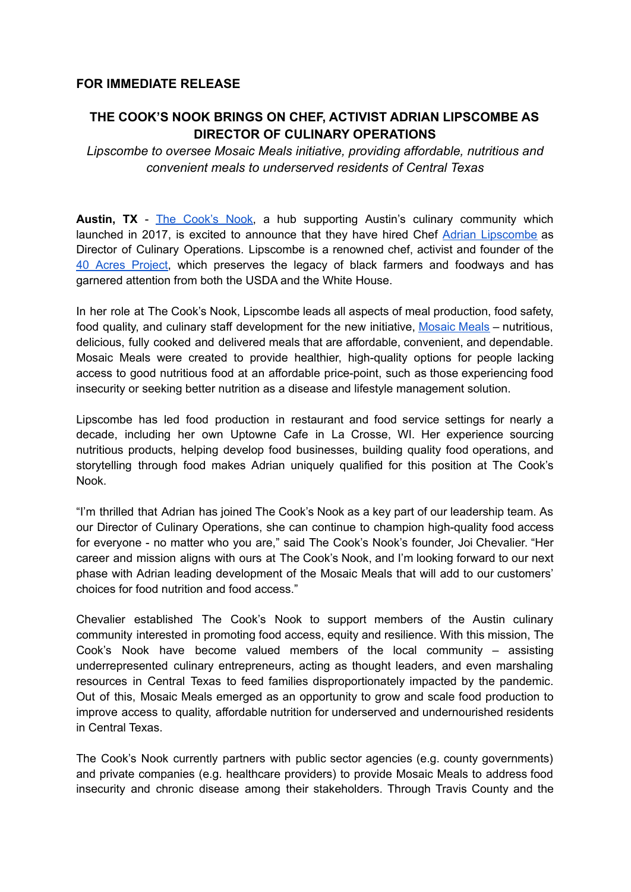## **FOR IMMEDIATE RELEASE**

## **THE COOK'S NOOK BRINGS ON CHEF, ACTIVIST ADRIAN LIPSCOMBE AS DIRECTOR OF CULINARY OPERATIONS**

*Lipscombe to oversee Mosaic Meals initiative, providing affordable, nutritious and convenient meals to underserved residents of Central Texas*

**Austin, TX** - The [Cook's](https://cooksnook.net/) Nook, a hub supporting Austin's culinary community which launched in 2017, is excited to announce that they have hired Chef Adrian [Lipscombe](https://adrianlipscombe.com/) as Director of Culinary Operations. Lipscombe is a renowned chef, activist and founder of the 40 Acres [Project,](https://40acresproject.com/) which preserves the legacy of black farmers and foodways and has garnered attention from both the USDA and the White House.

In her role at The Cook's Nook, Lipscombe leads all aspects of meal production, food safety, food quality, and culinary staff development for the new initiative, [Mosaic](https://cooksnook.net/mosaic-meals/) Meals – nutritious, delicious, fully cooked and delivered meals that are affordable, convenient, and dependable. Mosaic Meals were created to provide healthier, high-quality options for people lacking access to good nutritious food at an affordable price-point, such as those experiencing food insecurity or seeking better nutrition as a disease and lifestyle management solution.

Lipscombe has led food production in restaurant and food service settings for nearly a decade, including her own Uptowne Cafe in La Crosse, WI. Her experience sourcing nutritious products, helping develop food businesses, building quality food operations, and storytelling through food makes Adrian uniquely qualified for this position at The Cook's Nook.

"I'm thrilled that Adrian has joined The Cook's Nook as a key part of our leadership team. As our Director of Culinary Operations, she can continue to champion high-quality food access for everyone - no matter who you are," said The Cook's Nook's founder, Joi Chevalier. "Her career and mission aligns with ours at The Cook's Nook, and I'm looking forward to our next phase with Adrian leading development of the Mosaic Meals that will add to our customers' choices for food nutrition and food access."

Chevalier established The Cook's Nook to support members of the Austin culinary community interested in promoting food access, equity and resilience. With this mission, The Cook's Nook have become valued members of the local community – assisting underrepresented culinary entrepreneurs, acting as thought leaders, and even marshaling resources in Central Texas to feed families disproportionately impacted by the pandemic. Out of this, Mosaic Meals emerged as an opportunity to grow and scale food production to improve access to quality, affordable nutrition for underserved and undernourished residents in Central Texas.

The Cook's Nook currently partners with public sector agencies (e.g. county governments) and private companies (e.g. healthcare providers) to provide Mosaic Meals to address food insecurity and chronic disease among their stakeholders. Through Travis County and the